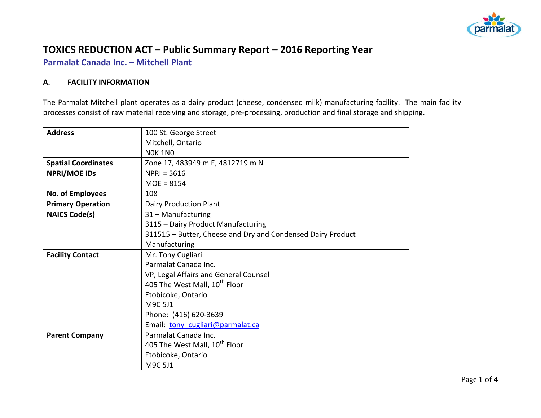

# **TOXICS REDUCTION ACT – Public Summary Report – 2016 Reporting Year**

**Parmalat Canada Inc. – Mitchell Plant**

#### **A. FACILITY INFORMATION**

The Parmalat Mitchell plant operates as a dairy product (cheese, condensed milk) manufacturing facility. The main facility processes consist of raw material receiving and storage, pre-processing, production and final storage and shipping.

| <b>Address</b>             | 100 St. George Street                                       |  |  |  |  |
|----------------------------|-------------------------------------------------------------|--|--|--|--|
|                            | Mitchell, Ontario                                           |  |  |  |  |
|                            | <b>NOK 1NO</b>                                              |  |  |  |  |
| <b>Spatial Coordinates</b> | Zone 17, 483949 m E, 4812719 m N                            |  |  |  |  |
| <b>NPRI/MOE IDS</b>        | $NPRI = 5616$                                               |  |  |  |  |
|                            | $MOE = 8154$                                                |  |  |  |  |
| No. of Employees           | 108                                                         |  |  |  |  |
| <b>Primary Operation</b>   | Dairy Production Plant                                      |  |  |  |  |
| <b>NAICS Code(s)</b>       | 31 - Manufacturing                                          |  |  |  |  |
|                            | 3115 - Dairy Product Manufacturing                          |  |  |  |  |
|                            | 311515 - Butter, Cheese and Dry and Condensed Dairy Product |  |  |  |  |
|                            | Manufacturing                                               |  |  |  |  |
| <b>Facility Contact</b>    | Mr. Tony Cugliari                                           |  |  |  |  |
|                            | Parmalat Canada Inc.                                        |  |  |  |  |
|                            | VP, Legal Affairs and General Counsel                       |  |  |  |  |
|                            | 405 The West Mall, 10 <sup>th</sup> Floor                   |  |  |  |  |
|                            | Etobicoke, Ontario                                          |  |  |  |  |
|                            | M9C 5J1                                                     |  |  |  |  |
|                            | Phone: (416) 620-3639                                       |  |  |  |  |
|                            | Email: tony cugliari@parmalat.ca                            |  |  |  |  |
| <b>Parent Company</b>      | Parmalat Canada Inc.                                        |  |  |  |  |
|                            | 405 The West Mall, 10 <sup>th</sup> Floor                   |  |  |  |  |
|                            | Etobicoke, Ontario                                          |  |  |  |  |
|                            | M9C 5J1                                                     |  |  |  |  |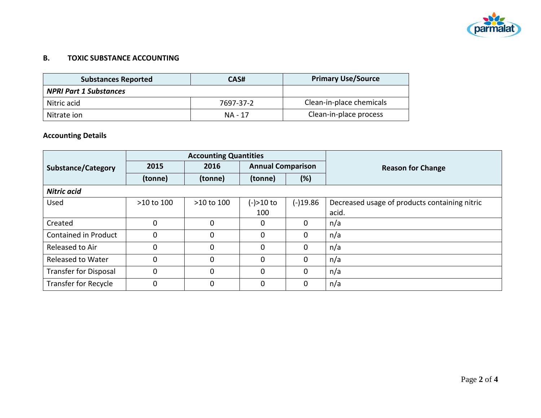

### **B. TOXIC SUBSTANCE ACCOUNTING**

| <b>Substances Reported</b>    | CAS#      | <b>Primary Use/Source</b> |
|-------------------------------|-----------|---------------------------|
| <b>NPRI Part 1 Substances</b> |           |                           |
| Nitric acid                   | 7697-37-2 | Clean-in-place chemicals  |
| Nitrate ion                   | NA - 17   | Clean-in-place process    |

## **Accounting Details**

|                              | <b>Accounting Quantities</b> |            |                          |              |                                               |
|------------------------------|------------------------------|------------|--------------------------|--------------|-----------------------------------------------|
| <b>Substance/Category</b>    | 2015                         | 2016       | <b>Annual Comparison</b> |              | <b>Reason for Change</b>                      |
|                              | (tonne)                      | (tonne)    | (tonne)                  | (%)          |                                               |
| <b>Nitric acid</b>           |                              |            |                          |              |                                               |
| Used                         | >10 to 100                   | >10 to 100 | (-)>10 to                | $(-)19.86$   | Decreased usage of products containing nitric |
|                              |                              |            | 100                      |              | acid.                                         |
| Created                      | 0                            | $\Omega$   | $\mathbf{0}$             | $\mathbf 0$  | n/a                                           |
| Contained in Product         | 0                            | 0          | $\mathbf{0}$             | $\mathbf{0}$ | n/a                                           |
| Released to Air              | 0                            | 0          | 0                        | $\mathbf 0$  | n/a                                           |
| Released to Water            | 0                            | 0          | $\mathbf{0}$             | $\mathbf 0$  | n/a                                           |
| <b>Transfer for Disposal</b> | 0                            | $\Omega$   | $\mathbf{0}$             | $\mathbf{0}$ | n/a                                           |
| <b>Transfer for Recycle</b>  | $\mathbf 0$                  | $\Omega$   | $\mathbf{0}$             | $\mathbf 0$  | n/a                                           |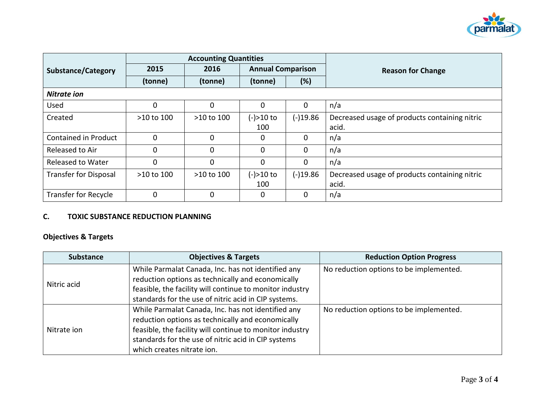

|                              | <b>Accounting Quantities</b> |            |                          |              |                                               |
|------------------------------|------------------------------|------------|--------------------------|--------------|-----------------------------------------------|
| <b>Substance/Category</b>    | 2015                         | 2016       | <b>Annual Comparison</b> |              | <b>Reason for Change</b>                      |
|                              | (tonne)                      | (tonne)    | (tonne)                  | (%)          |                                               |
| <b>Nitrate ion</b>           |                              |            |                          |              |                                               |
| Used                         | 0                            | 0          | $\mathbf{0}$             | $\mathbf{0}$ | n/a                                           |
| Created                      | >10 to 100                   | >10 to 100 | (-)>10 to                | $(-)19.86$   | Decreased usage of products containing nitric |
|                              |                              |            | 100                      |              | acid.                                         |
| Contained in Product         | $\mathbf 0$                  | 0          | $\mathbf{0}$             | $\mathbf 0$  | n/a                                           |
| Released to Air              | 0                            | 0          | $\mathbf{0}$             | $\mathbf{0}$ | n/a                                           |
| <b>Released to Water</b>     | $\mathbf 0$                  | 0          | $\mathbf{0}$             | $\mathbf 0$  | n/a                                           |
| <b>Transfer for Disposal</b> | >10 to 100                   | >10 to 100 | (-)>10 to                | $(-)19.86$   | Decreased usage of products containing nitric |
|                              |                              |            | 100                      |              | acid.                                         |
| Transfer for Recycle         | 0                            | 0          | 0                        | 0            | n/a                                           |

## **C. TOXIC SUBSTANCE REDUCTION PLANNING**

## **Objectives & Targets**

| <b>Substance</b> | <b>Objectives &amp; Targets</b>                                                                                                                                                                                                                          | <b>Reduction Option Progress</b>        |
|------------------|----------------------------------------------------------------------------------------------------------------------------------------------------------------------------------------------------------------------------------------------------------|-----------------------------------------|
| Nitric acid      | While Parmalat Canada, Inc. has not identified any<br>reduction options as technically and economically<br>feasible, the facility will continue to monitor industry<br>standards for the use of nitric acid in CIP systems.                              | No reduction options to be implemented. |
| Nitrate ion      | While Parmalat Canada, Inc. has not identified any<br>reduction options as technically and economically<br>feasible, the facility will continue to monitor industry<br>standards for the use of nitric acid in CIP systems<br>which creates nitrate ion. | No reduction options to be implemented. |